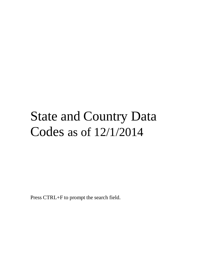# State and Country Data Codes as of 12/1/2014

Press CTRL+F to prompt the search field.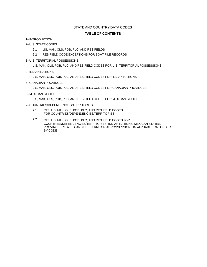#### STATE AND COUNTRY DATA CODES

#### **TABLE OF CONTENTS**

1--INTRODUCTION

#### 2--U.S. STATE CODES

- 2.1 LIS, MAK, OLS, POB, PLC, AND RES FIELDS
- 2.2 RES FIELD CODE EXCEPTIONS FOR BOAT FILE RECORDS

#### 3--U.S. TERRITORIAL POSSESSIONS

LIS, MAK, OLS, POB, PLC, AND RES FIELD CODES FOR U.S. TERRITORIAL POSSESSIONS

#### 4--INDIAN NATIONS

LIS, MAK, OLS, POB, PLC, AND RES FIELD CODES FOR INDIAN NATIONS

#### 5--CANADIAN PROVINCES

LIS, MAK, OLS, POB, PLC, AND RES FIELD CODES FOR CANADIAN PROVINCES

#### 6--MEXICAN STATES

LIS, MAK, OLS, POB, PLC, AND RES FIELD CODES FOR MEXICAN STATES

#### 7--COUNTRIES/DEPENDENCIES/TERRITORIES

- 7.1 CTZ, LIS, MAK, OLS, POB, PLC, AND RES FIELD CODES FOR COUNTRIES/DEPENDENCIES/TERRITORIES
- 7.2 CTZ, LIS, MAK, OLS, POB, PLC, AND RES FIELD CODES FOR COUNTRIES/DEPENDENCIES/TERRITORIES, INDIAN NATIONS, MEXICAN STATES, PROVINCES, STATES, AND U.S. TERRITORIAL POSSESSIONS IN ALPHABETICAL ORDER BY CODE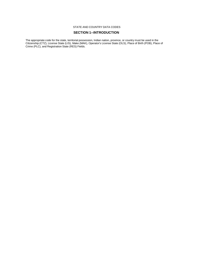#### STATE AND COUNTRY DATA CODES

#### **SECTION 1--INTRODUCTION**

The appropriate code for the state, territorial possession, Indian nation, province, or country must be used in the Citizenship (CTZ), License State (LIS), Make (MAK), Operator's License State (OLS), Place of Birth (POB), Place of Crime (PLC), and Registration State (RES) Fields.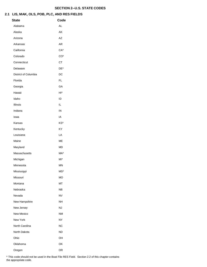# **2.1 LIS, MAK, OLS, POB, PLC, AND RES FIELDS**

| <b>State</b>         | Code      |
|----------------------|-----------|
| Alabama              | AL        |
| Alaska               | AK        |
| Arizona              | AZ        |
| Arkansas             | <b>AR</b> |
| California           | CA*       |
| Colorado             | $CO*$     |
| Connecticut          | <b>CT</b> |
| Delaware             | DE*       |
| District of Columbia | DC        |
| Florida              | <b>FL</b> |
| Georgia              | GA        |
| Hawaii               | HI*       |
| Idaho                | ID        |
| Illinois             | IL        |
| Indiana              | IN        |
| lowa                 | IA        |
| Kansas               | KS*       |
| Kentucky             | KY        |
| Louisiana            | LA        |
| Maine                | ME        |
| Maryland             | MD        |
| Massachusetts        | MA*       |
| Michigan             | MI*       |
| Minnesota            | MN        |
| Mississippi          | MS*       |
| Missouri             | <b>MO</b> |
| Montana              | МT        |
| Nebraska             | <b>NB</b> |
| Nevada               | NV        |
| New Hampshire        | NH        |
| New Jersey           | NJ        |
| New Mexico           | <b>NM</b> |
| New York             | NY        |
| North Carolina       | <b>NC</b> |
| North Dakota         | <b>ND</b> |
| Ohio                 | OН        |
| Oklahoma             | ОК        |
| Oregon               | OR        |

\* This code should not be used in the Boat File RES Field. Section 2.2 of this chapter contains the appropriate code.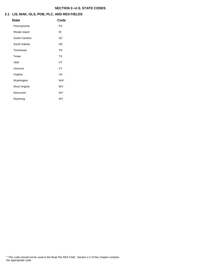# **2.1 LIS, MAK, OLS, POB, PLC, AND RES FIELDS**

| State          | Code      |
|----------------|-----------|
| Pennsylvania   | PA        |
| Rhode Island   | <b>RI</b> |
| South Carolina | SC        |
| South Dakota   | SD        |
| Tennessee      | <b>TN</b> |
| Texas          | <b>TX</b> |
| Utah           | UT        |
| Vermont        | VT        |
| Virginia       | VA        |
| Washington     | WA*       |
| West Virginia  | WV        |
| Wisconsin      | WI*       |
| Wyoming        | <b>WY</b> |
|                |           |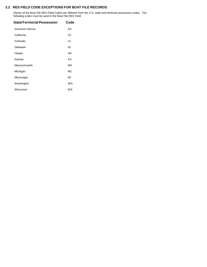#### **2.2 RES FIELD CODE EXCEPTIONS FOR BOAT FILE RECORDS**

Eleven of the Boat File RES Field Codes are different from the U.S. state and territorial possession codes. The following codes must be used in the Boat File RES Field:

| <b>State/Territorial Possession</b> | Code      |
|-------------------------------------|-----------|
| American Samoa                      | AS        |
| California                          | СF        |
| Colorado                            | СL        |
| Delaware                            | DL        |
| Hawaii                              | НA        |
| Kansas                              | KA        |
| Massachusetts                       | <b>MS</b> |
| Michigan                            | <b>MC</b> |
| Mississippi                         | MI        |
| Washington                          | <b>WN</b> |
| Wisconsin                           | WS        |
|                                     |           |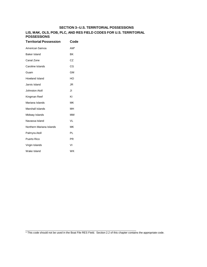## **SECTION 3--U.S. TERRITORIAL POSSESSIONS**

#### **LIS, MAK, OLS, POB, PLC, AND RES FIELD CODES FOR U.S. TERRITORIAL POSSESSIONS**

| <b>Territorial Possession</b> | Code      |
|-------------------------------|-----------|
| American Samoa                | $AM*$     |
| <b>Baker Island</b>           | BK        |
| Canal Zone                    | CZ        |
| Caroline Islands              | CG        |
| Guam                          | GM        |
| Howland Island                | HO        |
| Jarvis Island                 | JR        |
| Johnston Atoll                | JI        |
| Kingman Reef                  | ΚI        |
| Mariana Islands               | MK        |
| Marshall Islands              | MН        |
| Midway Islands                | <b>MW</b> |
| Navassa Island                | VI        |
| Northern Mariana Islands      | MK        |
| Palmyra Atoll                 | PL        |
| <b>Puerto Rico</b>            | <b>PR</b> |
| Virgin Islands                | VI        |
| Wake Island                   | WK        |

\* This code should not be used in the Boat File RES Field. Section 2.2 of this chapter contains the appropriate code.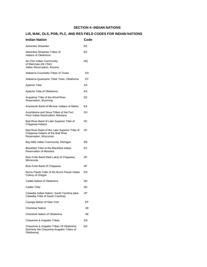| <b>Indian Nation</b>                                                                                        | Code |
|-------------------------------------------------------------------------------------------------------------|------|
| Absentee Shawnee                                                                                            | EЕ   |
| Absentee-Shawnee Tribes of<br>Indians of Oklahoma                                                           | EЕ   |
| Ak Chin Indian Community<br>of Maricopa (Ak Chin)<br>Indian Reservation, Arizona                            | DQ   |
| Alabama-Coushatta Tribes of Texas                                                                           | DX   |
| Alabama-Quassarte Tribal Town, Oklahoma                                                                     | DY   |
| <b>Apache Tribe</b>                                                                                         | AX   |
| Apache Tribe of Oklahoma                                                                                    | AX   |
| Arapahoe Tribe of the Wind River<br>Reservation, Wyoming                                                    | DZ   |
| Aroostook Band of Micmac Indians of Maine                                                                   | EА   |
| Assiniboine and Sioux Tribes of the Fort<br>Peck Indian Reservation, Montana                                | G٧   |
| Bad River Band of Lake Superior Tribe of<br>Chippewa Indians                                                | ХC   |
| Bad River Band of the Lake Superior Tribe of<br>Chippewa Indians of the Bad River<br>Reservation, Wisconsin | ХC   |
| Bay Mills Indian Community, Michigan                                                                        | EВ   |
| Blackfeet Tribe of the Blackfeet Indian<br>Reservation of Montana                                           | EС   |
| Bois Forte Band (Nett Lake) of Chippewa,<br>Minnesota                                                       | ХP   |
| Bois Forte Band of Chippewa                                                                                 | ХP   |
| Burns Paiute Tribe of the Burns Paiute Indian<br>Colony of Oregon                                           | ED   |
| Caddo Nation of Oklahoma                                                                                    | XD   |
| Caddo Tribe                                                                                                 | XD   |
| Catawba Indian Nation, South Carolina (aka-<br>Catawba Tribe of South Carolina)                             | VP   |
| Cayuga Nation of New York                                                                                   | EF   |
| <b>Cherokee Nation</b>                                                                                      | XЕ   |
| Cherokee Nation of Oklahoma                                                                                 | XЕ   |
| Cheyenne & Arapaho Tribes                                                                                   | DA   |
| Cheyenne & Arapaho Tribes Of Oklahoma<br>(formerly the Cheyenne-Arapaho Tribes of<br>Oklahoma)              | DA   |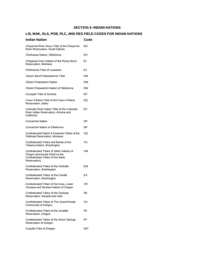| <b>Indian Nation</b>                                                                                                              | Code      |
|-----------------------------------------------------------------------------------------------------------------------------------|-----------|
| Cheyenne River Sioux Tribe of the Cheyenne<br>River Reservation, South Dakota                                                     | EG        |
| Chickasaw Nation, Oklahoma                                                                                                        | EН        |
| Chippewa-Cree Indians of the Rocky Boy's<br>Reservation, Montana                                                                  | ΕI        |
| Chitimacha Tribe of Louisiana                                                                                                     | EJ        |
| Citizen Band Pottawatomie Tribe                                                                                                   | <b>DW</b> |
| Citizen Potawatomi Nation                                                                                                         | DW        |
| Citizen Potawatomi Nation of Oklahoma                                                                                             | <b>DW</b> |
| Cocopah Tribe of Arizona                                                                                                          | EP        |
| Coeur d'Alene Tribe of the Coeur d'Alene<br>Reservation, Idaho                                                                    | EQ        |
| Colorado River Indian Tribe of the Colorado<br>River Indian Reservation, Arizona and<br>California                                | EV        |
| <b>Comanche Nation</b>                                                                                                            | DP        |
| Comanche Nation of Oklahoma                                                                                                       | DP        |
| Confederated Salish & Kootenai Tribes of the<br><b>Flathead Reservation, Montana</b>                                              | VQ        |
| Confederated Tribes and Bands of the<br>Yakama Nation, Washington                                                                 | VX        |
| Confederated Tribes of Siletz Indians of<br>Oregon (previously listed as the<br>Confederated Tribes of the Siletz<br>Reservation) | VW        |
| Confederated Tribes of the Chehalis<br>Reservation, Washington                                                                    | EW        |
| Confederated Tribes of the Colville<br>Reservation, Washington                                                                    | ЕX        |
| Confederated Tribes of the Coos, Lower<br>Umpqua and Siuslaw Indians of Oregon                                                    | VR        |
| Confederated Tribes of the Goshute<br>Reservation, Nevada and Utah                                                                | FB        |
| Confederated Tribes of The Grand Ronde<br>Community of Oregon                                                                     | VU        |
| Confederated Tribes of the Umatilla<br>Reservation, Oregon                                                                        | FE        |
| Confederated Tribes of the Warm Springs<br>Reservation of Oregon                                                                  | FF        |
| Coquille Tribe of Oregon                                                                                                          | WC        |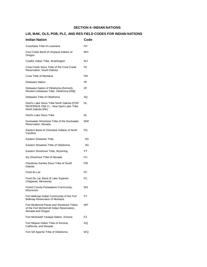| <b>Indian Nation</b>                                                                                        | Code      |
|-------------------------------------------------------------------------------------------------------------|-----------|
| Coushatta Tribe of Louisiana                                                                                | FH        |
| Cow Creek Band of Umpqua Indians of<br>Oregon                                                               | WH        |
| Cowlitz Indian Tribe, Washington                                                                            | WJ        |
| Crow Creek Sioux Tribe of the Crow Creek<br>Reservation, South Dakota                                       | FK        |
| Crow Tribe of Montana                                                                                       | FM        |
| Delaware Nation                                                                                             | ХF        |
| Delaware Nation of Oklahoma (formerly<br>Western Delaware Tribe, Oklahoma [XM])                             | XF        |
| Delaware Tribe of Oklahoma                                                                                  | XQ        |
| Devil's Lake Sioux Tribe North Dakota (FOR<br>REFERNCE ONLY) - Now Spirit Lake Tribe<br>North Dakota (RK)   | DI.       |
| Devil's Lake Sioux Tribe                                                                                    | DL        |
| Duckwater Shoshone Tribe of the Duckwater<br>Reservation, Nevada                                            | WМ        |
| Eastern Band of Cherokee Indians of North<br>Carolina                                                       | FQ        |
| Eastern Shawnee Tribe                                                                                       | ХG        |
| Eastern Shawnee Tribe of Oklahoma                                                                           | ХG        |
| Eastern Shoshone Tribe, Wyoming                                                                             | FT        |
| Ely Shoshone Tribe of Nevada                                                                                | FU        |
|                                                                                                             |           |
| Flandreau Santee Sioux Tribe of South<br>Dakota                                                             | <b>FW</b> |
| Fond du Lac                                                                                                 | FC        |
| Fond Du Lac Band of Lake Superior<br>Chippewa, Minnesota                                                    | FC        |
| Forest County Potawatomi Community,<br>Wisconsin                                                            | W0        |
| Fort Belknap Indian Community of the Fort<br>Belknap Reservaton of Montana                                  | FY        |
| Fort Mcdermitt Paiute and Shoshone Tribes<br>of the Fort McDermitt Indian Reservation,<br>Nevada and Oregon | WP        |
| Fort McDowell Yavapai Nation, Arizona                                                                       | FZ        |
| Fort Mojave Indian Tribe of Arizona,<br>California, and Nevada                                              | GQ        |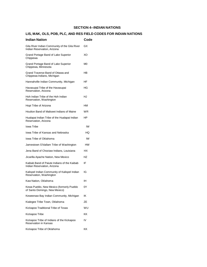| <b>Indian Nation</b>                                                         | Code |
|------------------------------------------------------------------------------|------|
| Gila River Indian Community of the Gila River<br>Indian Reservation, Arizona | GX   |
| Grand Portage Band of Lake Superior<br>Chippewa                              | XO   |
| Grand Portage Band of Lake Superior<br>Chippewa, Minnesota                   | M0   |
| Grand Traverse Band of Ottawa and<br>Chippewa Indians, Michigan              | НB   |
| Hannahville Indian Community, Michigan                                       | ΗF   |
| Havasupai Tribe of the Havasupai<br>Reservation, Arizona                     | ΗG   |
| Hoh Indian Tribe of the Hoh Indian<br>Reservation, Washington                | HJ   |
| Hopi Tribe of Arizona                                                        | НM   |
| Houlton Band of Maliseet Indians of Maine                                    | WR   |
| Hualapai Indian Tribe of the Hualapai Indian<br>Reservation, Arizona         | ΗP   |
| Iowa Tribe                                                                   | IW   |
| lowa Tribe of Kansas and Nebraska                                            | HQ   |
| Iowa Tribe of Oklahoma                                                       | IW   |
| Jamestown S'klallam Tribe of Washington                                      | HW   |
| Jena Band of Choctaw Indians, Louisiana                                      | НX   |
| Jicarilla Apache Nation, New Mexico                                          | HZ   |
| Kaibab Band of Paiute Indians of the Kaibab<br>Indian Reservation, Arizona   | ΙF   |
| Kalispel Indian Community of Kalispel Indian<br>Reservation, Washington      | IG   |
| Kaw Nation, Oklahoma                                                         | IН   |
| Kewa Pueblo, New Mexico (formerly Pueblo<br>of Santo Domingo, New Mexico)    | 0Y   |
| Keweenaw Bay Indian Community, Michigan                                      | ΙK   |
| Kialegee Tribe Town, Oklahoma                                                | ΖE   |
| Kickapoo Traditional Tribe of Texas                                          | wu   |
| Kickapoo Tribe                                                               | ΚK   |
| Kickapoo Tribe of Indians of the Kickapoo<br><b>Reservation in Kansas</b>    | I۷   |
| Kickapoo Tribe of Oklahoma                                                   | KΚ   |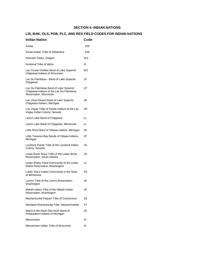| <b>Indian Nation</b>                                                                                       | Code      |
|------------------------------------------------------------------------------------------------------------|-----------|
| Kiowa                                                                                                      | KW        |
| Kiowa Indian Tribe of Oklahoma                                                                             | <b>KW</b> |
| Klamath Tribes, Oregon                                                                                     | <b>WX</b> |
| Kootenai Tribe of Idaho                                                                                    | ΙZ        |
| Lac Courte Oreilles Band of Lake Superior<br>Chippewa Indians of Wisconsin                                 | WZ        |
| Lac du Flambeau - Band of Lake Superior<br>Chippewa                                                        | LP        |
| Lac Du Flambeau Band of Lake Superior<br>Chippewa Indians of the Lac Du Flambeau<br>Reservation, Wisconsin | LP        |
| Lac Vieux Desert Band of Lake Superior<br>Chippewa Indians, Michigan                                       | JB        |
| Las Vegas Tribe of Paiute Indians of the Las<br>Vegas Indian Colony, Nevada                                | XR        |
| Leech Lake Band of Chippewa                                                                                | LL        |
| Leech Lake Band of Chippewa, Minnesota                                                                     | LL        |
| Little River Band of Ottawa Indians, Michigan                                                              | JD        |
| Little Traverse Bay Bands of Odawa Indians,<br>Michigan                                                    | JF        |
| Lovelock Paiute Tribe of the Lovelock Indian<br>Colony, Nevada                                             | JG        |
| Lower Brule Sioux Tribe of the Lower Brule<br>Reservation, South Dakota                                    | JH        |
| Lower Elwha Tribal Community of the Lower<br>Elwha Reservation, Washington                                 | JJ        |
| Lower Sioux Indian Community in the State<br>of Minnesota                                                  | ХS        |
| Lummi Tribe of the Lummi Reservation,<br>Washington                                                        | JK        |
| Makah Indian Tribe of the Makah Indian<br>Reservation, Washington                                          | JP        |
| Mashantucket Pequot Tribe of Connecticut                                                                   | JQ        |
| Mashpee Wampanoag Tribe, Massachusetts                                                                     | ХT        |
| Match-E-Be-Nash-She-Wish Band of<br>Pottawatomi Indians of Michigan                                        | JS        |
| Menominee                                                                                                  | IX        |
| Menominee Indian Tribe of Wisconsin                                                                        | IX        |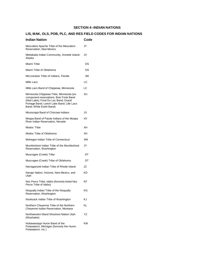| <b>Indian Nation</b>                                                                                                                                                                                | Code |
|-----------------------------------------------------------------------------------------------------------------------------------------------------------------------------------------------------|------|
| Mescalero Apache Tribe of the Mescalero<br>Reservation, New Mexico                                                                                                                                  | JT   |
| Metlakatla Indian Community, Annette Island,<br>Alaska                                                                                                                                              | JV   |
| Miami Tribe                                                                                                                                                                                         | DS   |
| Miami Tribe of Oklahoma                                                                                                                                                                             | DS   |
| Miccosukee Tribe of Indians, Florida                                                                                                                                                                | JW   |
| Mille Lacs                                                                                                                                                                                          | LC   |
| Mille Lacs Band of Chippewa, Minnesota                                                                                                                                                              | LC   |
| Minnesota Chippewa Tribe, Minnesota (six<br>component reservations: Bois Forte Band<br>(Nett Lake); Fond Du Lac Band; Grand<br>Portage Band; Leech Lake Band; Lille Lacs<br>Band; White Earth Band) | XU   |
| Mississippi Band of Choctaw Indians                                                                                                                                                                 | JХ   |
| Moapa Band of Paiute Indians of the Moapa<br>River Indian Reservation, Nevada                                                                                                                       | XV   |
| Modoc Tribe                                                                                                                                                                                         | XН   |
| Modoc Tribe of Oklahoma                                                                                                                                                                             | XН   |
| Mohegan Indian Tribe of Connecticut                                                                                                                                                                 | XW   |
| Muckleshoot Indian Tribe of the Muckleshoot<br>Reservation, Washington                                                                                                                              | JY   |
| Muscogee (Creek) Tribe                                                                                                                                                                              | DT   |
| Muscogee (Creek) Tribe of Oklahoma                                                                                                                                                                  | DT   |
| Narragansett Indian Tribe of Rhode Island                                                                                                                                                           | JZ   |
| Navajo Nation, Arizona, New Mexico, and<br>Utah                                                                                                                                                     | KD   |
| Nez Perce Tribe, Idaho (formerly listed Nez<br>Perce Tribe of Idaho)                                                                                                                                | ΚF   |
| Nisqually Indian Tribe of the Nisqually<br>Reservation, Washington                                                                                                                                  | ΚG   |
| Nooksack Indian Tribe of Washington                                                                                                                                                                 | ΚJ   |
| Northern Cheyenne Tribe of the Northern<br>Cheyenne Indian Reservation, Montana                                                                                                                     | ΚL   |
| Northwestern Band Shoshoni Nation Utah<br>(Washakie)                                                                                                                                                | ΥZ   |
| Nottawaseppi Huron Band of the<br>Potawatomi, Michigan (formerly the Huron<br>Potawatomi, Inc.)                                                                                                     | ΚM   |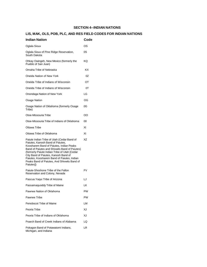| <b>Indian Nation</b>                                                                                                                                                                                                                                                                                                                                                         | Code      |
|------------------------------------------------------------------------------------------------------------------------------------------------------------------------------------------------------------------------------------------------------------------------------------------------------------------------------------------------------------------------------|-----------|
| Oglala Sioux                                                                                                                                                                                                                                                                                                                                                                 | ОS        |
| Oglala Sioux of Pine Ridge Reservation,<br>South Dakota                                                                                                                                                                                                                                                                                                                      | 0S        |
| Ohkay Owingeh, New Mexico (formerly the<br>Pueblo of San Juan)                                                                                                                                                                                                                                                                                                               | ΚQ        |
| Omaha Tribe of Nebraska                                                                                                                                                                                                                                                                                                                                                      | ΚX        |
| Oneida Nation of New York                                                                                                                                                                                                                                                                                                                                                    | 0Z        |
| Oneida Tribe of Indians of Wisconsin                                                                                                                                                                                                                                                                                                                                         | ОТ        |
| Oneida Tribe of Indians of Wisconsin                                                                                                                                                                                                                                                                                                                                         | 0Т        |
| Onondaga Nation of New York                                                                                                                                                                                                                                                                                                                                                  | LG        |
| Osage Nation                                                                                                                                                                                                                                                                                                                                                                 | OG        |
| Osage Nation of Oklahoma (formerly Osage<br>Tribe)                                                                                                                                                                                                                                                                                                                           | 0G        |
| Otoe-Missouria Tribe                                                                                                                                                                                                                                                                                                                                                         | OO        |
| Otoe-Missouria Tribe of Indians of Oklahoma                                                                                                                                                                                                                                                                                                                                  | 00        |
| Ottawa Tribe                                                                                                                                                                                                                                                                                                                                                                 | ΧI        |
| Ottawa Tribe of Oklahoma                                                                                                                                                                                                                                                                                                                                                     | ΧI        |
| Paiute Indian Tribe of Utah (Cedar Band of<br>Paiutes, Kanosh Band of Paiutes,<br>Koosharem Band of Paiutes, Indian Peaks<br>Band of Paiutes and Shivwits Band of Paiutes)<br>(formerly Paiute Indian Tribe of Utah [Cedar<br>City Band of Paiutes, Kanosh Band of<br>Paiutes, Koosharem Band of Paiutes, Indian<br>Peaks Band of Paiutes, And Shivwits Band of<br>Paiutes]) | XZ        |
| Paiute-Shoshone Tribe of the Fallon<br>Reservation and Colony, Nevada                                                                                                                                                                                                                                                                                                        | FV        |
| Pascua Yaqui Tribe of Arizona                                                                                                                                                                                                                                                                                                                                                | LJ        |
| Passamaquoddy Tribe of Maine                                                                                                                                                                                                                                                                                                                                                 | LK        |
| Pawnee Nation of Oklahoma                                                                                                                                                                                                                                                                                                                                                    | PW        |
| Pawnee Tribe                                                                                                                                                                                                                                                                                                                                                                 | <b>PW</b> |
| Penobscot Tribe of Maine                                                                                                                                                                                                                                                                                                                                                     | LM        |
| Peoria Tribe                                                                                                                                                                                                                                                                                                                                                                 | XJ        |
| Peoria Tribe of Indians of Oklahoma                                                                                                                                                                                                                                                                                                                                          | XJ        |
| Poarch Band of Creek Indians of Alabama                                                                                                                                                                                                                                                                                                                                      | LQ        |
| Pokagon Band of Potawatomi Indians,<br>Michigan, and Indiana                                                                                                                                                                                                                                                                                                                 | LR        |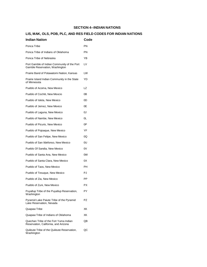| Indian Nation                                                                 | Code |
|-------------------------------------------------------------------------------|------|
| Ponca Tribe                                                                   | PN   |
| Ponca Tribe of Indians of Oklahoma                                            | PN   |
| Ponca Tribe of Nebraska                                                       | YB   |
| Port Gamble of Indian Community of the Port<br>Gamble Reservation, Washington | LV   |
| Prairie Band of Potawatomi Nation, Kansas                                     | LW   |
| Prairie Island Indian Community in the State<br>of Minnesota                  | YD   |
| Pueblo of Acoma, New Mexico                                                   | LZ   |
| Pueblo of Cochiti, New Mexcio                                                 | 0Β   |
| Pueblo of Isleta, New Mexico                                                  | 0D   |
| Pueblo of Jemez, New Mexico                                                   | 0Ε   |
| Pueblo of Laguna, New Mexico                                                  | 0J   |
| Pueblo of Nambe, New Mexico                                                   | 0L   |
| Pueblo of Picuris, New Mexico                                                 | 0P   |
| Pueblo of Pojoaque, New Mexico                                                | YF   |
| Pueblo of San Felipe, New Mexico                                              | 0Q   |
| Pueblo of San Ildefonso, New Mexico                                           | 0U   |
| Pueblo Of Sandia, New Mexico                                                  | 0V   |
| Pueblo of Santa Ana, New Mexico                                               | 0W   |
| Pueblo of Santa Clara, New Mexico                                             | 0X   |
| Pueblo of Taos, New Mexico                                                    | PН   |
| Pueblo of Tesuque, New Mexico                                                 | PJ   |
| Pueblo of Zia, New Mexico                                                     | ΡP   |
| Pueblo of Zuni, New Mexico                                                    | РX   |
| Puyallup Tribe of the Puyallup Reservation,<br>Washington                     | PY   |
| Pyramid Lake Paiute Tribe of the Pyramid<br>Lake Reservation, Nevada          | PZ   |
| Quapaw Tribe                                                                  | ХK   |
| Quapaw Tribe of Indians of Oklahoma                                           | XK   |
| Quechan Tribe of the Fort Yuma Indian<br>Reservation, California, and Arizona | OΒ   |
| Quileute Tribe of the Quileute Reservation,<br>Washington                     | QC   |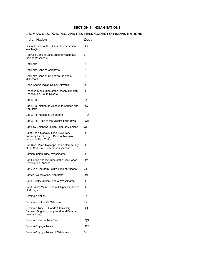| <b>Indian Nation</b>                                                                                 | Code |
|------------------------------------------------------------------------------------------------------|------|
| Quinault Tribe of the Quinault Reservation,<br>Washington                                            | QD   |
| Red Cliff Band of Lake Superior Chippewa<br>Indians Wisconsin                                        | YH   |
| Red Lake                                                                                             | RL   |
| Red Lake Band of Chippewa                                                                            | RL   |
| Red Lake Band of Chippewa Indians of<br>Minnesota                                                    | RL   |
| Reno-Sparks Indian Colony, Nevada                                                                    | QE   |
| Rosebud Sioux Tribe of the Rosebud Indian<br>Reservation, South Dakota                               | QF   |
| Sac & Fox                                                                                            | FX   |
| Sac & Fox Nation of Missouri in Kansas and<br>Nebraska                                               | QG   |
| Sac & Fox Nation of Oklahoma                                                                         | FX   |
| Sac & Fox Tribe of the Mississippi in Iowa                                                           | QH   |
| Saginaw Chippewa Indian Tribe of Michigan                                                            | QI   |
| Saint Regis Mohawk Tribe, New York<br>(formerly the St. Regis Band of Mohawk<br>Indians of New York) | QJ   |
| Salt River Pima-Maricopa Indian Community<br>of the Salt River Reservation, Arizona                  | QK   |
| Samish Indian Tribe, Washington                                                                      | QL   |
| San Carlos Apache Tribe of the San Carlos<br>Reservation, Arizona                                    | QM   |
| San Juan Southern Paiute Tribe of Arizona                                                            | YJ   |
| Santee Sioux Nation, Nebraska                                                                        | QN   |
| Sauk-Suiattle Indian Tribe of Washington                                                             | Q0   |
| Sault Sainte Maire Tribe of Chippewa Indians<br>of Michigan                                          | QP   |
| Seminole Nation                                                                                      | SK   |
| Seminole Nation Of Oklahoma                                                                          | SK   |
| Seminole Tribe Of Florida (Dania, Big<br>Cypress, Brighton, Hollywood, and Tampa<br>reservations)    | QQ   |
| Seneca Nation of New York                                                                            | QS   |
| Seneca-Cayuga Tribes                                                                                 | DV   |
| Seneca-Cayuga Tribes of Oklahoma                                                                     | DV   |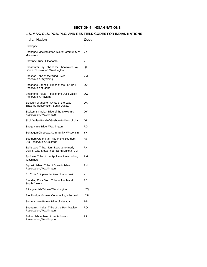| <b>Indian Nation</b>                                                                      | Code |
|-------------------------------------------------------------------------------------------|------|
| Shakopee                                                                                  | ΚP   |
| Shakopee Mdewakanton Sioux Community of<br>Minnesota                                      | YK   |
| Shawnee Tribe, Oklahoma                                                                   | YL   |
| Shoalwater Bay Tribe of the Shoalwater Bay<br>Indian Reservation, Washington              | QT   |
| Shoshoe Tribe of the Wind River<br>Reservation, Wyoming                                   | YM   |
| Shoshone-Bannock Tribes of the Fort Hall<br>Reservation of Idaho                          | QV   |
| Shoshone-Paiute Tribes of the Duck Valley<br>Reservation, Nevada                          | QW   |
| Sisseton-Wahpeton Oyate of the Lake<br>Traverse Reservation, South Dakota                 | QX   |
| Skokomish Indian Tribe of the Skokomish<br>Reservation, Washington                        | QY   |
| Skull Valley Band of Goshute Indians of Utah                                              | QZ   |
| Snoqualmie Tribe, Washington                                                              | RD   |
| Sokaogon Chippewa Community, Wisconsin                                                    | YN   |
| Southern Ute Indian Tribe of the Southern<br>Ute Reservation, Colorado                    | RJ   |
| Spirit Lake Tribe, North Dakota (formerly<br>Devil's Lake Sioux Tribe, North Dakota [DL]) | RK   |
| Spokane Tribe of the Spokane Reservation,<br>Washington                                   | RM   |
| Squaxin Island Tribe of Squaxin Island<br>Reservation, Washington                         | RN   |
| St. Croix Chippewa Indians of Wisconsin                                                   | YI   |
| Standing Rock Sioux Tribe of North and<br>South Dakota                                    | R0   |
| Stillaguamish Tribe of Washington                                                         | YQ   |
| Stockbridge Munsee Community, Wisconsin                                                   | YP   |
| Summit Lake Paiute Tribe of Nevada                                                        | RP.  |
| Suquamish Indian Tribe of the Port Madison<br>Reservation, Washington                     | RQ.  |
| Swinomish Indians of the Swinomish<br>Reservation, Washington                             | RT   |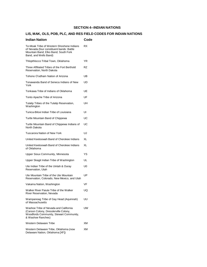| <b>Indian Nation</b>                                                                                                                                    | Code |
|---------------------------------------------------------------------------------------------------------------------------------------------------------|------|
| Te-Moak Tribe of Western Shoshone Indians<br>of Nevada (four constituent bands: Battle<br>Mountain Band; Elko Band; South Fork<br>Band, and Wells Band) | RX   |
| Thlopthlocco Tribal Town, Oklahoma                                                                                                                      | YR   |
| Three Affiliated Tribes of the Fort Berthold<br>Reservation, North Dakota                                                                               | RZ   |
| Tohono O'odham Nation of Arizona                                                                                                                        | UB   |
| Tonawanda Band of Seneca Indians of New<br>York                                                                                                         | UD   |
| Tonkawa Tribe of Indians of Oklahoma                                                                                                                    | UE   |
| Tonto Apache Tribe of Arizona                                                                                                                           | UF   |
| Tulalip Tribes of the Tulalip Reservation,<br>Washington                                                                                                | UН   |
| Tunica-Biloxi Indian Tribe of Louisiana                                                                                                                 | UI   |
| Turtle Mountain Band of Chippewa                                                                                                                        | UC   |
| Turtle Mountain Band of Chippewa Indians of<br>North Dakota                                                                                             | UC   |
| <b>Tuscarora Nation of New York</b>                                                                                                                     | UJ   |
| United Keetoowah Band of Cherokee Indians                                                                                                               | XL   |
| United Keetoowah Band of Cherokee Indians<br>of Oklahoma                                                                                                | XL   |
| Upper Sioux Community, Minnesota                                                                                                                        | YS   |
| Upper Skagit Indian Tribe of Washington                                                                                                                 | UL   |
| Ute Indian Tribe of the Uintah & Ouray<br>Reservation, Utah                                                                                             | U0   |
| Ute Mountain Tribe of the Ute Mountain<br>Reservation, Colorado, New Mexico, and Utah                                                                   | UP   |
| Vakama Nation, Washington                                                                                                                               | VF   |
| Walker River Paiute Tribe of the Walker<br>River Reservation, Nevada                                                                                    | UQ   |
| Wampanoag Tribe of Gay Head (Aquinnah)<br>of Massachusetts                                                                                              | UU   |
| Washoe Tribe of Nevada and California<br>(Carson Colony, Dresslerville Colony,<br>Woodfords Community, Stewart Community,<br>& Washoe Ranches)          | UW   |
| <b>Western Delaware Tribe</b>                                                                                                                           | XМ   |
| Western Delaware Tribe, Oklahoma (now<br>Delaware Nation, Oklahoma [XF])                                                                                | XМ   |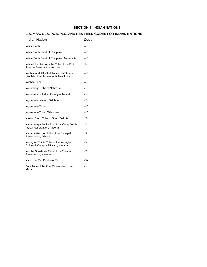| <b>Indian Nation</b>                                                            | Code      |
|---------------------------------------------------------------------------------|-----------|
| <b>White Earth</b>                                                              | WF        |
| White Earth Band of Chippewa                                                    | WE        |
| White Earth Band of Chippewa, Minnesota                                         | WE        |
| White Mountain Apache Tribe of the Fort<br>Apache Reservation, Arizona          | <b>UX</b> |
| Wichita and Affiliated Tribes, Oklahoma<br>(Wichita, Keechi, Waco, & Tawakonie) | wт        |
| <b>Wichita Tribe</b>                                                            | WT        |
| Winnebago Tribe of Nebraska                                                     | VD        |
| Winnemucca Indian Colony of Nevada                                              | YV        |
| Wyandotte Nation, Oklahoma                                                      | VE        |
| <b>Wyandotte Tribe</b>                                                          | <b>WD</b> |
| Wyandotte Tribe, Oklahoma                                                       | WD        |
| Yakton Sioux Tribe of South Dakota                                              | VG        |
| Yavapai-Apache Nation of the Camp Verde<br>Indian Reservation, Arizona          | VH        |
| Yavapai-Prescott Tribe of the Yavapai<br>Reservation, Arizona                   | VJ        |
| Yerington Paiute Tribe of the Yerington<br>Colony & Campbell Ranch, Nevada      | VK        |
| Yomba Shoshone Tribe of the Yomba<br>Reservation, Nevada                        | V0        |
| Ysleta del Sur Pueblo of Texas                                                  | YW        |
| Zuni Tribe of the Zuni Reservation, New<br>Mexico                               | YΧ        |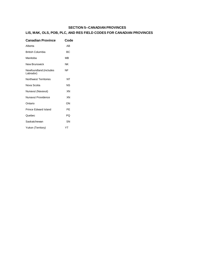## **SECTION 5--CANADIAN PROVINCES**

# **LIS, MAK, OLS, POB, PLC, AND RES FIELD CODES FOR CANADIAN PROVINCES**

| <b>Canadian Province</b>            | Code      |
|-------------------------------------|-----------|
| Alberta                             | AB        |
| British Columbia                    | ВC        |
| Manitoba                            | <b>MB</b> |
| <b>New Brunswick</b>                | ΝK        |
| Newfoundland (includes<br>Labrador) | NF        |
| Northwest Territories               | NT        |
| Nova Scotia                         | NS        |
| Nunavut (Navavut)                   | XN        |
| Nunavut Providence                  | XN        |
| Ontario                             | ΟN        |
| <b>Prince Edward Island</b>         | ΡF        |
| Quebec                              | PQ        |
| Saskatchewan                        | SΝ        |
| Yukon (Territory)                   | YT        |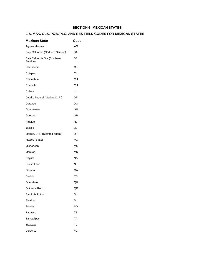## **SECTION 6--MEXICAN STATES**

# **LIS, MAK, OLS, POB, PLC, AND RES FIELD CODES FOR MEXICAN STATES**

| <b>Mexican State</b>                      | Code      |
|-------------------------------------------|-----------|
| Aguascalientes                            | AG        |
| Baja California (Northern Section)        | BA        |
| Baja California Sur (Southern<br>Section) | BJ        |
| Campeche                                  | CЕ        |
| Chiapas                                   | СI        |
| Chihuahua                                 | CН        |
| Coahuila                                  | CU        |
| Colima                                    | <b>CL</b> |
| Distrito Federal (Mexico, D. F.)          | DF        |
| Durango                                   | DO        |
| Guanajuato                                | GU        |
| Guerrero                                  | GR        |
| Hidalgo                                   | HL        |
| Jalisco                                   | JL        |
| Mexico, D. F. (Distrito Federal)          | DF        |
| Mexico (State)                            | МX        |
| Michoacan                                 | МC        |
| Morelos                                   | ΜR        |
| Nayarit                                   | NA        |
| Nuevo Leon                                | NL        |
| Oaxaca                                    | OA        |
| Puebla                                    | РB        |
| Queretaro                                 | QU        |
| Quintana Roo                              | ΟR        |
| San Luis Potosi                           | SL        |
| Sinaloa                                   | SI        |
| Sonora                                    | SO        |
| Tabasco                                   | TB        |
| Tamaulipas                                | <b>TA</b> |
| Tlaxcala                                  | TL        |
| Veracruz                                  | VC        |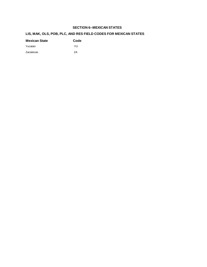## **SECTION 6--MEXICAN STATES**

# **LIS, MAK, OLS, POB, PLC, AND RES FIELD CODES FOR MEXICAN STATES**

| <b>Mexican State</b> | Code |
|----------------------|------|
| Yucatan              | YH   |
| Zacatecas            | 7A   |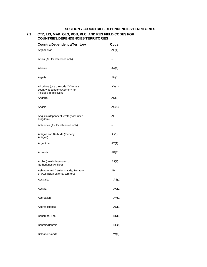#### **SECTION 7--COUNTRIES/DEPENDENCIES/TERRITORIES**

#### **7.1 CTZ, LIS, MAK, OLS, POB, PLC, AND RES FIELD CODES FOR COUNTRIES/DEPENDENCIES/TERRITORIES**

| Country/Dependency/Territory                                                                         | Code  |
|------------------------------------------------------------------------------------------------------|-------|
| Afghanistan                                                                                          | AF(1) |
| Africa (AC for reference only)                                                                       |       |
| Albania                                                                                              | AA(1) |
| Algeria                                                                                              | AN(1) |
| All others (use the code YY for any<br>country/dependency/territory not<br>included in this listing) | YY(1) |
| Andorra                                                                                              | AD(1) |
| Angola                                                                                               | AO(1) |
| Anguilla (dependent territory of United<br>Kingdom)                                                  | AE    |
| Antarctica (AY for reference only)                                                                   | --    |
| Antigua and Barbuda (formerly<br>Antigua)                                                            | AI(1) |
| Argentina                                                                                            | AT(1) |
| Armenia                                                                                              | AP(1) |
| Aruba (now independent of<br>Netherlands Antilles)                                                   | AJ(1) |
| Ashmore and Cartier Islands, Territory<br>of (Australian external territory)                         | AH    |
| Australia                                                                                            | AS(1) |
| Austria                                                                                              | AU(1) |
| Azerbaijan                                                                                           | AV(1) |
| Azores Islands                                                                                       | AQ(1) |
| Bahamas, The                                                                                         | BD(1) |
| Bahrain/Bahrein                                                                                      | BE(1) |
| <b>Balearic Islands</b>                                                                              | BW(1) |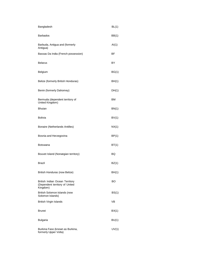| Bangladesh                                                                   | BL(1) |
|------------------------------------------------------------------------------|-------|
| <b>Barbados</b>                                                              | BB(1) |
| Barbuda, Antigua and (formerly<br>Antigua)                                   | AI(1) |
| Bassas Da India (French possession)                                          | ΒF    |
| <b>Belarus</b>                                                               | BY    |
| Belgium                                                                      | BG(1) |
| Belize (formerly British Honduras)                                           | BH(1) |
| Benin (formerly Dahomey)                                                     | DH(1) |
| Bermuda (dependent territory of<br>United Kingdom)                           | BM    |
| <b>Bhutan</b>                                                                | BN(1) |
| Bolivia                                                                      | BV(1) |
| Bonaire (Netherlands Antilles)                                               | NX(1) |
| Bosnia and Herzegovina                                                       | BP(1) |
| Botswana                                                                     | BT(1) |
| Bouvet Island (Norwegian territory)                                          | BQ    |
| Brazil                                                                       | BZ(1) |
| British Honduras (now Belize)                                                | BH(1) |
| British Indian Ocean Territory<br>(Dependent territory of United<br>Kingdom) | BO    |
| British Solomon Islands (now<br>Solomon Islands)                             | BS(1) |
| British Virgin Islands                                                       | VB    |
| Brunei                                                                       | BX(1) |
| Bulgaria                                                                     | BU(1) |
| Burkina Faso (known as Burkina,<br>formerly Upper Volta)                     | UV(1) |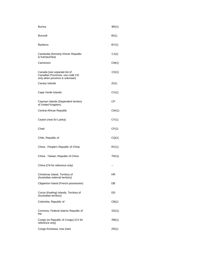| Burma                                                                                             | BR(1) |
|---------------------------------------------------------------------------------------------------|-------|
| Burundi                                                                                           | BI(1) |
| <b>Byelarus</b>                                                                                   | BY(1) |
| Cambodia (formerly Khmer Republic<br>& Kampuchea)                                                 | CJ(1) |
| Cameroon                                                                                          | CM(1) |
| Canada (see separate list of<br>Canadian Provinces; use code CD<br>only when province is unknown) | CD(1) |
| Canary Islands                                                                                    | ZI(1) |
| Cape Verde Islands                                                                                | CV(1) |
| Cayman Islands (Dependent territory<br>of United Kingdom)                                         | СP    |
| Central African Republic                                                                          | CW(1) |
| Ceylon (now Sri Lanka)                                                                            | CY(1) |
| Chad                                                                                              | CF(1) |
| Chile, Republic of                                                                                | CQ(1) |
| China - People's Republic of China                                                                | RC(1) |
| China - Taiwan, Republic of China                                                                 | TW(1) |
| China (CN for reference only)                                                                     |       |
| Christmas Island, Territory of<br>(Australian external territory)                                 | ΗR    |
| Clipperton Island (French possession)                                                             | DB    |
| Cocos (Keeling) Islands, Territory of<br>(Australian territory)                                   | DD    |
| Colombia, Republic of                                                                             | CB(1) |
| Comoros, Federal Islamic Republic of<br>the                                                       | DG(1) |
| Congo (or Republic of Congo) (CX for<br>reference only)                                           | RB(1) |
| Congo Kinshasa, now Zaire                                                                         | ZR(1) |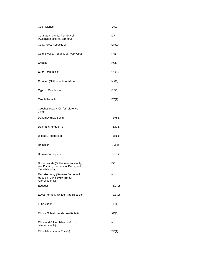| Cook Islands                                                                                  | DI(1) |
|-----------------------------------------------------------------------------------------------|-------|
| Coral Sea Islands, Territory of<br>(Australian external territory)                            | DJ    |
| Costa Rica, Republic of                                                                       | CR(1) |
| Cote d'Ivoire, Republic of (Ivory Coast)                                                      | IY(1) |
| Croatia                                                                                       | KC(1) |
| Cuba, Republic of                                                                             | CC(1) |
| Curacao (Netherlands Antilles)                                                                | NX(1) |
| Cyprus, Republic of                                                                           | CS(1) |
| Czech Republic                                                                                | EZ(1) |
| Czechoslovakia (CK for reference<br>only)                                                     |       |
| Dahomey (now Benin)                                                                           | DH(1) |
| Denmark, Kingdom of                                                                           | DK(1) |
| Djibouti, Republic of                                                                         | DN(1) |
| Dominica                                                                                      | DM(1) |
| Dominican Republic                                                                            | DR(1) |
| Ducie Islands (DU for reference only;<br>see Pitcairn, Henderson, Ducie, and<br>Oeno Islands) | PC    |
| East Germany (German Democratic<br>Republic, 1945-1989; EM for<br>reference only)             |       |
| Ecuador                                                                                       | EU(1) |
| Egypt (formerly United Arab Republic)                                                         | EY(1) |
| El Salvador                                                                                   | EL(1) |
| Ellice - Gilbert Islands now Kiribati                                                         | KB(1) |
| Ellice and Gilbert Islands (GL for<br>reference only)                                         |       |
| Ellice Islands (now Tuvalu)                                                                   | TV(1) |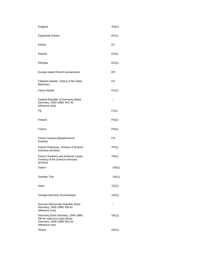| England                                                                                                            | EN(1) |
|--------------------------------------------------------------------------------------------------------------------|-------|
| <b>Equatorial Guinea</b>                                                                                           | EK(1) |
| Eritrea                                                                                                            | EТ    |
| Estonia                                                                                                            | ES(1) |
| Ethiopia                                                                                                           | EO(1) |
| Europa Island (French possession)                                                                                  | ER    |
| Falkland Islands, Colony of the (Islas<br>Malvinas)                                                                | FA    |
| Faroe Islands                                                                                                      | FO(1) |
| Federal Republic of Germany (West<br>Germany, 1945-1989; WG for<br>reference only)                                 | --    |
| Fiji                                                                                                               | FJ(1) |
| Finland                                                                                                            | FD(1) |
| France                                                                                                             | FN(1) |
| French Guiana (Department of<br>Guiana)                                                                            | FG    |
| French Polynesia, Territory of (French<br>overseas territory)                                                      | FP(1) |
| French Southern and Antarctic Lands,<br>Territory of the (French overseas<br>territory)                            | FR(1) |
| Gabon                                                                                                              | GB(1) |
| Gambia, The                                                                                                        | GK(1) |
| Gaza                                                                                                               | GZ(1) |
| Georgia (formerly Gruzinskaya)                                                                                     | GD(1) |
| German Democratic Republic (East<br>Germany, 1945-1989; EM for<br>reference only)                                  |       |
| Germany (East Germany, 1945-1989;<br>EM for reference only) (West<br>Germany, 1945-1989; WG for<br>reference only) | GE(1) |
| Ghana                                                                                                              | GG(1) |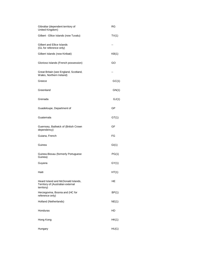| Gibraltar (dependent territory of<br>United Kingdom)                                  | <b>RG</b> |
|---------------------------------------------------------------------------------------|-----------|
| Gilbert - Ellice Islands (now Tuvalu)                                                 | TV(1)     |
| Gilbert and Ellice Islands<br>(GL for reference only)                                 | --        |
| Gilbert Islands (now Kiribati)                                                        | KB(1)     |
| Glorioso Islands (French possession)                                                  | GO        |
| Great Britain (see England, Scotland,<br>Wales, Northern Ireland)                     |           |
| Greece                                                                                | GC(1)     |
| Greenland                                                                             | GN(1)     |
| Grenada                                                                               | GJ(1)     |
| Guadeloupe, Department of                                                             | GP        |
| Guatemala                                                                             | GT(1)     |
| Guernsey, Bailiwick of (British Crown<br>dependency)                                  | GF        |
| Guiana, French                                                                        | FG        |
| Guinea                                                                                | GI(1)     |
| Guinea-Bissau (formerly Portuguese<br>Guinea)                                         | PG(1)     |
| Guyana                                                                                | GY(1)     |
| Haiti                                                                                 | HT(1)     |
| Heard Island and McDonald Islands,<br>Territory of (Australian external<br>territory) | HE        |
| Herzegovina, Bosnia and (HC for<br>reference only)                                    | BP(1)     |
| Holland (Netherlands)                                                                 | NE(1)     |
| Honduras                                                                              | HD        |
| Hong Kong                                                                             | HK(1)     |
| Hungary                                                                               | HU(1)     |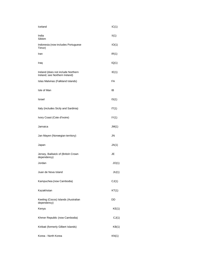| Iceland                                                              | IC(1) |
|----------------------------------------------------------------------|-------|
| India<br>Sikkim                                                      | II(1) |
| Indonesia (now includes Portuguese<br>Timor)                         | IO(1) |
| Iran                                                                 | IR(1) |
| Iraq                                                                 | IQ(1) |
| Ireland (does not include Northern<br>Ireland; see Northern Ireland) | IE(1) |
| Islas Malvinas (Falkland Islands)                                    | FA    |
| Isle of Man                                                          | IB    |
| Israel                                                               | IS(1) |
| Italy (includes Sicily and Sardinia)                                 | IT(1) |
| Ivory Coast (Cote d'Ivoire)                                          | IY(1) |
| Jamaica                                                              | JM(1) |
| Jan Mayen (Norwegian territory)                                      | JN    |
| Japan                                                                | JA(1) |
| Jersey, Bailiwick of (British Crown<br>dependency)                   | JE    |
| Jordan                                                               | JO(1) |
| Juan de Nova Island                                                  | JU(1) |
| Kampuchea (now Cambodia)                                             | CJ(1) |
| Kazakhstan                                                           | KT(1) |
| Keeling (Cocos) Islands (Australian<br>dependency)                   | DD    |
| Kenya                                                                | KE(1) |
| Khmer Republic (now Cambodia)                                        | CJ(1) |
| Kiribati (formerly Gilbert Islands)                                  | KB(1) |
| Korea - North Korea                                                  | KN(1) |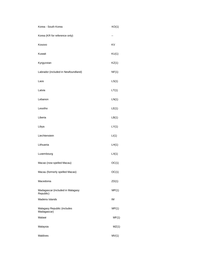| Korea - South Korea                           | KO(1) |
|-----------------------------------------------|-------|
| Korea (KR for reference only)                 | --    |
| Kosovo                                        | KV    |
| Kuwait                                        | KU(1) |
| Kyrgyzstan                                    | KZ(1) |
| Labrador (included in Newfoundland)           | NF(1) |
| Laos                                          | LS(1) |
| Latvia                                        | LT(1) |
| Lebanon                                       | LN(1) |
| Lesotho                                       | LE(1) |
| Liberia                                       | LB(1) |
| Libya                                         | LY(1) |
| Liechtenstein                                 | LI(1) |
| Lithuania                                     | LH(1) |
| Luxembourg                                    | LX(1) |
| Macao (now spelled Macau)                     | OC(1) |
| Macau (formerly spelled Macao)                | OC(1) |
| Macedonia                                     | ZD(1) |
| Madagascar (included in Malagasy<br>Republic) | MP(1) |
| Madeira Islands                               | IM    |
| Malagasy Republic (includes<br>Madagascar)    | MP(1) |
| Malawi                                        | MF(1) |
| Malaysia                                      | MZ(1) |
| Maldives                                      | MV(1) |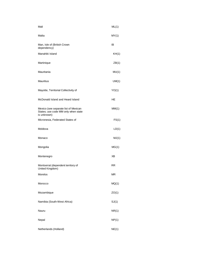| Mali                                                                                       | ML(1)     |
|--------------------------------------------------------------------------------------------|-----------|
| Malta                                                                                      | MY(1)     |
| Man, Isle of (British Crown<br>dependency)                                                 | IB        |
| Manahiki Island                                                                            | KH(1)     |
| Martinique                                                                                 | ZB(1)     |
| Mauritania                                                                                 | MU(1)     |
| <b>Mauritius</b>                                                                           | UM(1)     |
| Mayotte, Territorial Collectivity of                                                       | YO(1)     |
| McDonald Island and Heard Island                                                           | HE        |
| Mexico (see separate list of Mexican<br>States; use code MM only when state<br>is unknown) | MM(1)     |
| Micronesia, Federated States of                                                            | FS(1)     |
| Moldova                                                                                    | LD(1)     |
| Monaco                                                                                     | MJ(1)     |
| Mongolia                                                                                   | MG(1)     |
| Montenegro                                                                                 | ХB        |
| Montserrat (dependent territory of<br>United Kingdom)                                      | <b>RR</b> |
| Morelos                                                                                    | <b>MR</b> |
| Morocco                                                                                    | MQ(1)     |
| Mozambique                                                                                 | ZO(1)     |
| Namibia (South-West Africa)                                                                | SJ(1)     |
| Nauru                                                                                      | NR(1)     |
| Nepal                                                                                      | NP(1)     |
| Netherlands (Holland)                                                                      | NE(1)     |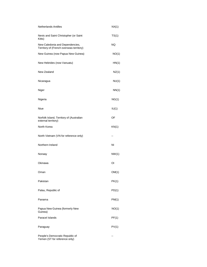| <b>Netherlands Antilles</b>                                                 | NX(1) |
|-----------------------------------------------------------------------------|-------|
| Nevis and Saint Christopher (or Saint<br>Kitts)                             | TS(1) |
| New Caledonia and Dependencies,<br>Territory of (French overseas territory) | NQ    |
| New Guinea (now Papua New Guinea)                                           | NO(1) |
| New Hebrides (now Vanuatu)                                                  | HN(1) |
| New Zealand                                                                 | NZ(1) |
| Nicaragua                                                                   | NU(1) |
| Niger                                                                       | NN(1) |
| Nigeria                                                                     | NG(1) |
| Niue                                                                        | IU(1) |
| Norfolk Island, Territory of (Australian<br>external territory)             | OF    |
| North Korea                                                                 | KN(1) |
| North Vietnam (VN for reference only)                                       | --    |
| Northern Ireland                                                            | ΝI    |
| Norway                                                                      | NW(1) |
| Okinawa                                                                     | Οl    |
| Oman                                                                        | OM(1) |
| Pakistan                                                                    | PK(1) |
| Palau, Republic of                                                          | PD(1) |
| Panama                                                                      | PM(1) |
| Papua New Guinea (formerly New<br>Guinea)                                   | NO(1) |
| Paracel Islands                                                             | PF(1) |
| Paraguay                                                                    | PV(1) |
| People's Democratic Republic of                                             |       |

Yemen (ST for reference only)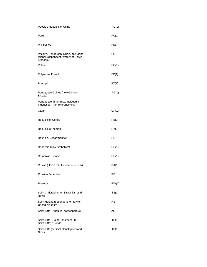| People's Republic of China                                                                 | RC(1) |
|--------------------------------------------------------------------------------------------|-------|
| Peru                                                                                       | PU(1) |
| Philippines                                                                                | PI(1) |
| Pitcairn, Henderson, Ducie, and Oeno<br>Islands (dependent territory of United<br>Kingdom) | РC    |
| Poland                                                                                     | PO(1) |
| Polynesia, French                                                                          | FP(1) |
| Portugal                                                                                   | PT(1) |
| Portuguese Guinea (now Guinea-<br>Bissau)                                                  | PG(1) |
| Portuguese Timor (now included in<br>Indonesia; TI for reference only)                     | --    |
| Qatar                                                                                      | QA(1) |
| Republic of Congo                                                                          | RB(1) |
| Republic of Yemen                                                                          | RY(1) |
| Reunion, Department of                                                                     | RE    |
| Rhodesia (now Zimbabwe)                                                                    | RH(1) |
| Romania/Rumania                                                                            | RU(1) |
| Russia (USSR; SX for reference only)                                                       | RA(1) |
| <b>Russian Federation</b>                                                                  | RF    |
| Rwanda                                                                                     | RW(1) |
| Saint Christopher (or Saint Kitts) and<br><b>Nevis</b>                                     | TS(1) |
| Saint Helena (dependent territory of<br>United Kingdom)                                    | НS    |
| Saint Kitts - Anguilla (now separate)                                                      | AE    |
| Saint Kitts - Saint Christopher (or<br>Saint Kitts) & Nevis                                | TS(1) |
| Saint Kitts (or Saint Christopher) and<br>Nevis                                            | TS(1) |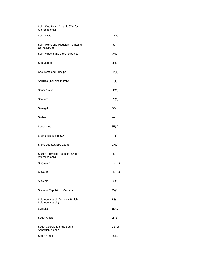| Saint Kitts-Nevis-Anguilla (AW for<br>reference only)     | --    |
|-----------------------------------------------------------|-------|
| Saint Lucia                                               | LU(1) |
| Saint Pierre and Miquelon, Territorial<br>Collectivity of | PS    |
| Saint Vincent and the Grenadines                          | VV(1) |
| San Marino                                                | SH(1) |
| Sao Tome and Principe                                     | TP(1) |
| Sardinia (included in Italy)                              | IT(1) |
| Saudi Arabia                                              | SB(1) |
| Scotland                                                  | SS(1) |
| Senegal                                                   | SG(1) |
| Serbia                                                    | XA    |
| Seychelles                                                | SE(1) |
| Sicily (included in Italy)                                | IT(1) |
| Sierre Leone/Sierra Leone                                 | SA(1) |
| Sikkim (now code as India; SK for<br>reference only)      | II(1) |
| Singapore                                                 | SR(1) |
| Slovakia                                                  | LF(1) |
| Slovenia                                                  | LO(1) |
| Socialist Republic of Vietnam                             | RV(1) |
| Solomon Islands (formerly British<br>Solomon Islands)     | BS(1) |
| Somalia                                                   | SM(1) |
| South Africa                                              | SF(1) |
| South Georgia and the South<br>Sandwich Islands           | GS(1) |
| South Korea                                               | KO(1) |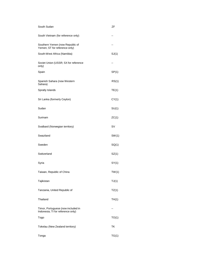| South Sudan                                                             | ΖF    |
|-------------------------------------------------------------------------|-------|
| South Vietnam (for reference only)                                      |       |
| Southern Yemen (now Republic of<br>Yemen; ST for reference only)        | --    |
| South-West Africa (Namibia)                                             | SJ(1) |
| Soviet Union (USSR; SX for reference<br>only)                           | --    |
| Spain                                                                   | SP(1) |
| Spanish Sahara (now Western<br>Sahara)                                  | RS(1) |
| Spratly Islands                                                         | TE(1) |
| Sri Lanka (formerly Ceylon)                                             | CY(1) |
| Sudan                                                                   | SU(1) |
| Surinam                                                                 | ZC(1) |
| Svalbard (Norwegian territory)                                          | SV    |
| Swaziland                                                               | SW(1) |
| Sweden                                                                  | SQ(1) |
| Switzerland                                                             | SZ(1) |
| Syria                                                                   | SY(1) |
| Taiwan, Republic of China                                               | TW(1) |
| Tajikistan                                                              | TJ(1) |
| Tanzania, United Republic of                                            | TZ(1) |
| Thailand                                                                | TH(1) |
| Timor, Portuguese (now included in<br>Indonesia; TI for reference only) |       |
| Togo                                                                    | TO(1) |
| Tokelau (New Zealand territory)                                         | ТK    |
| Tonga                                                                   | TG(1) |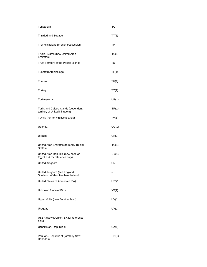| Tongareva                                                           | TQ        |
|---------------------------------------------------------------------|-----------|
| <b>Trinidad and Tobago</b>                                          | TT(1)     |
| Tromelin Island (French possession)                                 | ТM        |
| <b>Trucial States (now United Arab</b><br>Emirates)                 | TC(1)     |
| Trust Territory of the Pacific Islands                              | TD        |
| Tuamotu Archipelago                                                 | TF(1)     |
| Tunisia                                                             | TU(1)     |
| Turkey                                                              | TY(1)     |
| Turkmenistan                                                        | UR(1)     |
| Turks and Caicos Islands (dependent<br>territory of United Kingdom) | TR(1)     |
| Tuvalu (formerly Ellice Islands)                                    | TV(1)     |
| Uganda                                                              | UG(1)     |
| Ukraine                                                             | UK(1)     |
| United Arab Emirates (formerly Trucial<br>States)                   | TC(1)     |
| United Arab Republic (now code as<br>Egypt; UA for reference only)  | EY(1)     |
| United Kingdom                                                      | UN        |
| United Kingdom (see England,<br>Scotland, Wales, Northern Ireland)  |           |
| United States of America (USA)                                      | $US^*(1)$ |
| Unknown Place of Birth                                              | XX(1)     |
| Upper Volta (now Burkina Faso)                                      | UV(1)     |
| Uruguay                                                             | UY(1)     |
| USSR (Soviet Union; SX for reference<br>only)                       |           |
| Uzbekistan, Republic of                                             | UZ(1)     |
| Vanuatu, Republic of (formerly New<br>Hebrides)                     | HN(1)     |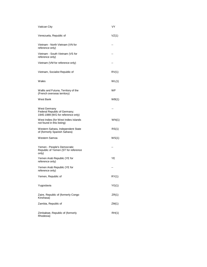| <b>Vatican City</b>                                                               | VY    |
|-----------------------------------------------------------------------------------|-------|
| Venezuela, Republic of                                                            | VZ(1) |
| Vietnam - North Vietnam (VN for<br>reference only)                                | --    |
| Vietnam - South Vietnam (VS for<br>reference only)                                |       |
| Vietnam (VM for reference only)                                                   | --    |
| Vietnam, Socialist Republic of                                                    | RV(1) |
| Wales                                                                             | WL(1) |
| Wallis and Futuna, Territory of the<br>(French overseas territory)                | WF    |
| West Bank                                                                         | WB(1) |
| West Germany<br>Federal Republic of Germany;<br>1945-1989 (WG for reference only) |       |
| West Indies (for West Indies Islands<br>not found in this listing)                | WN(1) |
| Western Sahara, Independent State<br>of (formerly Spanish Sahara)                 | RS(1) |
| Western Samoa                                                                     | WS(1) |
| Yemen - People's Democratic<br>Republic of Yemen (ST for reference<br>only)       |       |
| Yemen Arab Republic (YE for<br>reference only)                                    | YΕ    |
| Yemen Arab Republic (YE for<br>reference only)                                    |       |
| Yemen, Republic of                                                                | RY(1) |
| Yugoslavia                                                                        | YG(1) |
| Zaire, Republic of (formerly Congo<br>Kinshasa)                                   | ZR(1) |
| Zambia, Republic of                                                               | ZM(1) |
| Zimbabwe, Republic of (formerly<br>Rhodesia)                                      | RH(1) |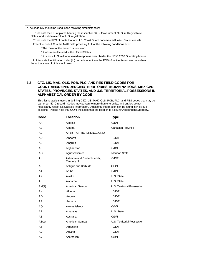\*The code US should be used in the following circumstances:

- To indicate the LIS of plates bearing the inscription "U.S. Government," U.S. military vehicle plates, and civilian aircraft of U.S. registration.

- To indicate the RES of boats that are U.S. Coast Guard documented United States vessels.
- Enter the code US in the MAK Field providing ALL of the following conditions exist:
	- \* The make of the firearm is unknown.
	- \* It was manufactured in the United States.
	- \* It is not a U.S. military-issued weapon as described in the NCIC 2000 Operating Manual.

- In Interstate Identification Index (III) records to indicate the POB of native Americans only when the actual state of birth is unknown.

#### **7.2 CTZ, LIS, MAK, OLS, POB, PLC, AND RES FIELD CODES FOR COUNTRIES/DEPENDENCIES/TERRITORIES, INDIAN NATIONS, MEXICAN STATES, PROVINCES, STATES, AND U.S. TERRITORIAL POSSESSIONS IN ALPHABETICAL ORDER BY CODE**

This listing assists users in defining CTZ, LIS, MAK, OLS, POB, PLC, and RES codes that may be part of an NCIC record. Codes may pertain to more than one entity, and entries do not necessarily reflect all available information. Additional information can be found in individual sections. Please note that C/D/T indicates that the location is a country/dependency/territory.

| Code      | Location                                     | Type                        |
|-----------|----------------------------------------------|-----------------------------|
| AA        | Albania                                      | C/D/T                       |
| AB        | Alberta                                      | Canadian Province           |
| <b>AC</b> | Africa--FOR REFERENCE ONLY                   |                             |
| <b>AD</b> | Andorra                                      | C/D/T                       |
| <b>AE</b> | Anguilla                                     | C/D/T                       |
| AF        | Afghanistan                                  | C/D/T                       |
| AG        | Aguascalientes                               | <b>Mexican State</b>        |
| AH        | Ashmore and Cartier Islands,<br>Territory of | C/D/T                       |
| AI        | Antigua and Barbuda                          | C/D/T                       |
| AJ        | Aruba                                        | C/D/T                       |
| AK        | Alaska                                       | U.S. State                  |
| <b>AL</b> | Alabama                                      | U.S. State                  |
| AM(1)     | American Samoa                               | U.S. Territorial Possession |
| AN        | Algeria                                      | C/D/T                       |
| AO        | Angola                                       | C/D/T                       |
| AP        | Armenia                                      | C/D/T                       |
| AQ        | Azores Islands                               | C/D/T                       |
| <b>AR</b> | Arkansas                                     | U.S. State                  |
| <b>AS</b> | Australia                                    | C/D/T                       |
| AS(2)     | American Samoa                               | U.S. Territorial Possession |
| AT        | Argentina                                    | C/D/T                       |
| AU        | Austria                                      | C/D/T                       |
| AV        | Azerbaiian                                   | C/D/T                       |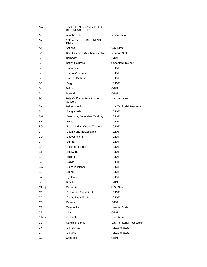| AW        | Saint Kitts-Nevis-Anguilla--FOR<br>RFFERENCE ONLY |                             |
|-----------|---------------------------------------------------|-----------------------------|
| АX        | Apache Tribe                                      | <b>Indian Nation</b>        |
| AY        | Antarctica--FOR REFERENCE<br>ONLY                 |                             |
| AZ        | Arizona                                           | U.S. State                  |
| BA        | Baja California (Northern Section)                | Mexican State               |
| ВB        | <b>Barbados</b>                                   | C/D/T                       |
| BС        | <b>British Columbia</b>                           | Canadian Province           |
| BD        | <b>Bahamas</b>                                    | C/D/T                       |
| ВE        | Bahrain/Bahrein                                   | C/D/T                       |
| ΒF        | Bassas Da India                                   | C/D/T                       |
| BG        | Belgium                                           | C/D/T                       |
| BH        | <b>Belize</b>                                     | C/D/T                       |
| BI        | Burundi                                           | C/D/T                       |
| BJ        | Baja California Sur (Southern<br>Section)         | Mexican State               |
| ΒK        | <b>Baker Island</b>                               | U.S. Territorial Possession |
| BL        | Bangladesh                                        | C/D/T                       |
| ВM        | Bermuda, Dependent Territory of                   | C/D/T                       |
| ΒN        | Bhutan                                            | C/D/T                       |
| BO        | <b>British Indian Ocean Territory</b>             | C/D/T                       |
| BP        | Bosnia and Herzegovina                            | C/D/T                       |
| BQ        | Bouvet Island                                     | C/D/T                       |
| BR.       | Burma                                             | C/D/T                       |
| BS        | Solomon Islands                                   | C/D/T                       |
| ВT        | Botswana                                          | C/D/T                       |
| BU        | <b>Bulgaria</b>                                   | C/D/T                       |
| BV        | <b>Bolivia</b>                                    | C/D/T                       |
| <b>BW</b> | <b>Balearic Islands</b>                           | C/D/T                       |
| ВX        | Brunei                                            | C/D/T                       |
| ΒY        | <b>Byelarus</b>                                   | C/D/T                       |
| BZ        | Brazil                                            | C/D/T                       |
| CA(1)     | California                                        | U.S. State                  |
| CВ        | Colombia, Republic of                             | C/D/T                       |
| СC        | Cuba, Republic of                                 | C/D/T                       |
| CD        | Canada                                            | C/D/T                       |
| CЕ        | Campeche                                          | <b>Mexican State</b>        |
| CF        | Chad                                              | C/D/T                       |
| CF(2)     | California                                        | U.S. State                  |
| СG        | Caroline Islands                                  | U.S. Territorial Possession |
| CН        | Chihuahua                                         | Mexican State               |
| CI        | Chiapas                                           | Mexican State               |
| CJ        | Cambodia                                          | C/D/T                       |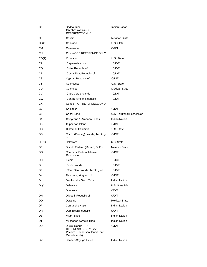| СK        | Caddo Tribe<br>Czechoslovakia--FOR<br>REFERENCE ONLY                                          | <b>Indian Nation</b>        |
|-----------|-----------------------------------------------------------------------------------------------|-----------------------------|
| СL        | Colima                                                                                        | <b>Mexican State</b>        |
| CL(2)     | Colorado                                                                                      | U.S. State                  |
| СM        | Cameroon                                                                                      | C/D/T                       |
| <b>CN</b> | China--FOR REFERENCE ONLY                                                                     |                             |
| CO(1)     | Colorado                                                                                      | U.S. State                  |
| СP        | Cayman Islands                                                                                | C/D/T                       |
| CQ        | Chile, Republic of                                                                            | C/D/T                       |
| CR        | Costa Rica, Republic of                                                                       | C/D/T                       |
| СS        | Cyprus, Republic of                                                                           | C/D/T                       |
| СT        | Connecticut                                                                                   | U.S. State                  |
| CU        | Coahuila                                                                                      | Mexican State               |
| СV        | Cape Verde Islands                                                                            | C/D/T                       |
| CW        | Central African Republic                                                                      | C/D/T                       |
| СX        | Congo--FOR REFERENCE ONLY                                                                     |                             |
| CY.       | Sri Lanka                                                                                     | C/D/T                       |
| CZ        | Canal Zone                                                                                    | U.S. Territorial Possession |
| DA        | Cheyenne & Arapaho Tribes                                                                     | <b>Indian Nation</b>        |
| DB        | Clipperton Island                                                                             | C/D/T                       |
| DC        | District of Columbia                                                                          | U.S. State                  |
| DD        | Cocos (Keeling) Islands, Territory<br>of                                                      | C/D/T                       |
| DE(1)     | Delaware                                                                                      | U.S. State                  |
| DF        | Distrito Federal (Mexico, D. F.)                                                              | Mexican State               |
| DG        | Comoros, Federal Islamic<br>Republic of                                                       | C/D/T                       |
| DH.       | Benin                                                                                         | C/D/T                       |
| DI        | Cook Islands                                                                                  | C/D/T                       |
| DJ        | Coral Sea Islands, Territory of                                                               | C/D/T                       |
| DK        | Denmark, Kingdom of                                                                           | C/D/T                       |
| DL        | Devil's Lake Sioux Tribe                                                                      | Indian Nation               |
| DL(2)     | Delaware                                                                                      | U.S. State DM               |
|           | Dominica                                                                                      | C/D/T                       |
| DN        | Djibouti, Republic of                                                                         | C/D/T                       |
| DO        | Durango                                                                                       | Mexican State               |
| DP        | <b>Comanche Nation</b>                                                                        | <b>Indian Nation</b>        |
| DR        | Dominican Republic                                                                            | C/D/T                       |
| DS        | Miami Tribe                                                                                   | Indian Nation               |
| DT        | Muscogee (Creek) Tribe                                                                        | <b>Indian Nation</b>        |
| DU        | Ducie Islands--FOR<br>REFERENCE ONLY (see<br>Pitcairn, Henderson, Ducie, and<br>Oeno Islands) | C/D/T                       |
| DV        | Seneca-Cayuga Tribes                                                                          | <b>Indian Nation</b>        |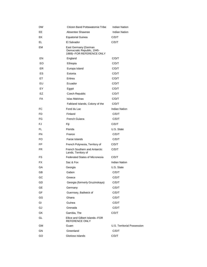| DW        | Citizen Band Pottawatomie Tribe                                                | <b>Indian Nation</b>        |
|-----------|--------------------------------------------------------------------------------|-----------------------------|
| EE        | Absentee Shawnee                                                               | <b>Indian Nation</b>        |
| EK        | <b>Equatorial Guinea</b>                                                       | C/D/T                       |
| EL        | El Salvador                                                                    | C/D/T                       |
| EM        | East Germany (German<br>Democratic Republic, 1945-<br>1989)-FOR REFERENCE ONLY |                             |
| EN        | England                                                                        | C/D/T                       |
| EO.       | Ethiopia                                                                       | C/D/T                       |
| ER.       | Europa Island                                                                  | C/D/T                       |
| ES.       | Estonia                                                                        | C/D/T                       |
| ET        | Eritrea                                                                        | C/D/T                       |
| EU        | Ecuador                                                                        | C/D/T                       |
| EY        | Egypt                                                                          | C/D/T                       |
| EZ        | Czech Republic                                                                 | C/D/T                       |
| FA        | <b>Islas Malvinas</b>                                                          | C/D/T                       |
|           | Falkland Islands, Colony of the                                                | C/D/T                       |
| FC        | Fond du Lac                                                                    | <b>Indian Nation</b>        |
| FD.       | Finland                                                                        | C/D/T                       |
| FG        | French Guiana                                                                  | C/D/T                       |
| FJ        | Fiji                                                                           | C/D/T                       |
| FL        | Florida                                                                        | U.S. State                  |
| <b>FN</b> | France                                                                         | C/D/T                       |
| FO.       | Faroe Islands                                                                  | C/D/T                       |
| FP.       | French Polynesia, Territory of                                                 | C/D/T                       |
| FR.       | French Southern and Antarctic<br>Lands, Territory of                           | C/D/T                       |
| FS        | <b>Federated States of Micronesia</b>                                          | C/D/T                       |
| <b>FX</b> | Sac & Fox                                                                      | <b>Indian Nation</b>        |
| GА        | Georgia                                                                        | U.S. State                  |
| GВ        | Gabon                                                                          | C/D/T                       |
| GC        | Greece                                                                         | C/D/T                       |
| GD        | Georgia (formerly Gruzinskaya)                                                 | C/D/T                       |
| GE        | Germany                                                                        | C/D/T                       |
| GF        | Guernsey, Bailiwick of                                                         | C/D/T                       |
| GG        | Ghana                                                                          | C/D/T                       |
| GI        | Guinea                                                                         | C/D/T                       |
| GJ        | Grenada                                                                        | C/D/T                       |
| GK        | Gambia, The                                                                    | C/D/T                       |
| GL        | Ellice and Gilbert Islands--FOR<br>REFERENCE ONLY                              |                             |
| GМ        | Guam                                                                           | U.S. Territorial Possession |
| GN        | Greenland                                                                      | C/D/T                       |
| GO        | Glorioso Islands                                                               | C/D/T                       |
|           |                                                                                |                             |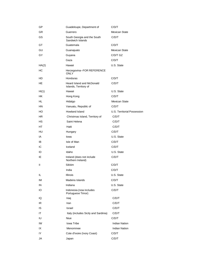| GР        | Guadeloupe, Department of                          | C/D/T                       |
|-----------|----------------------------------------------------|-----------------------------|
| <b>GR</b> | Guerrero                                           | Mexican State               |
| GS        | South Georgia and the South<br>Sandwich Islands    | C/D/T                       |
| GT        | Guatemala                                          | C/D/T                       |
| GU        | Guanajuato                                         | <b>Mexican State</b>        |
| GY        | Guyana                                             | $C/D/T$ GZ                  |
|           | Gaza                                               | C/D/T                       |
| HA(2)     | Hawaii                                             | U.S. State                  |
| HС        | Herzegovina--FOR REFERENCE<br><b>ONLY</b>          |                             |
| HD        | Honduras                                           | C/D/T                       |
| HE        | Heard Island and McDonald<br>Islands, Territory of | C/D/T                       |
| HI(1)     | Hawaii                                             | U.S. State                  |
| НK        | Hong Kong                                          | C/D/T                       |
| <b>HL</b> | Hidalgo                                            | Mexican State               |
| HN        | Vanuatu, Republic of                               | C/D/T                       |
| HO        | Howland Island                                     | U.S. Territorial Possession |
| HR.       | Christmas Island, Territory of                     | C/D/T                       |
| НS        | Saint Helena                                       | C/D/T                       |
| HТ        | Haiti                                              | C/D/T                       |
| HU        | Hungary                                            | C/D/T                       |
| IA        | lowa                                               | U.S. State                  |
| IB        | Isle of Man                                        | C/D/T                       |
| IC        | Iceland                                            | C/D/T                       |
| ID        | Idaho                                              | U.S. State                  |
| IE        | Ireland (does not include<br>Northern Ireland)     | C/D/T                       |
| Ш         | Sikkim                                             | C/D/T                       |
|           | India                                              | C/D/T                       |
| IL        | Illinois                                           | U.S. State                  |
| ΙM        | Madeira Islands                                    | C/D/T                       |
| IN        | Indiana                                            | U.S. State                  |
| IО        | Indonesia (now includes<br>Portuguese Timor)       | C/D/T                       |
| IQ        | Iraq                                               | C/D/T                       |
| IR.       | Iran                                               | C/D/T                       |
| IS        | Israel                                             | C/D/T                       |
| ΙT        | Italy (includes Sicily and Sardinia)               | C/D/T                       |
| IU        | <b>Niue</b>                                        | C/D/T                       |
| IW        | Iowa Tribe                                         | <b>Indian Nation</b>        |
| IX        | Menominee                                          | <b>Indian Nation</b>        |
| IY        | Cote d'Ivoire (Ivory Coast)                        | C/D/T                       |
| JA        | Japan                                              | C/D/T                       |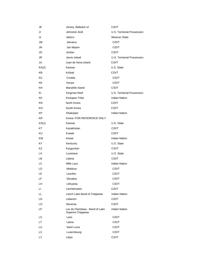| JE        | Jersey, Bailiwick of                                | C/D/T                       |
|-----------|-----------------------------------------------------|-----------------------------|
| JI        | Johnston Atoll                                      | U.S. Territorial Possession |
| JL        | Jalisco                                             | Mexican State               |
| JM        | Jamaica                                             | C/D/T                       |
| JN        | Jan Mayen                                           | C/D/T                       |
| JO        | Jordan                                              | C/D/T                       |
| JR        | Jarvis Island                                       | U.S. Territorial Possession |
| JU        | Juan de Nova Island                                 | C/D/T                       |
| KA(2)     | Kansas                                              | U.S. State                  |
| ΚB        | Kiribati                                            | C/D/T                       |
| КC        | Croatia                                             | C/D/T                       |
| KE        | Kenya                                               | C/D/T                       |
| KH        | Manahiki Island                                     | C/D/T                       |
| ΚI        | Kingman Reef                                        | U.S. Territorial Possession |
| ΚK        | Kickapoo Tribe                                      | <b>Indian Nation</b>        |
| ΚN        | North Korea                                         | C/D/T                       |
| KO.       | South Korea                                         | C/D/T                       |
| KP        | Shakopee                                            | <b>Indian Nation</b>        |
| KR.       | Korea--FOR REFERENCE ONLY                           |                             |
| KS(1)     | Kansas                                              | U.S. State                  |
| KT        | Kazakhstan                                          | C/D/T                       |
| KU        | Kuwait                                              | C/D/T                       |
| <b>KW</b> | Kiowa                                               | <b>Indian Nation</b>        |
| KY.       | Kentucky                                            | U.S. State                  |
| ΚZ        | Kyrgyzstan                                          | C/D/T                       |
| LA        | Louisiana                                           | U.S. State                  |
| LB        | Liberia                                             | C/D/T                       |
| LC        | Mille Lacs                                          | <b>Indian Nation</b>        |
| LD        | Moldova                                             | C/D/T                       |
| LE        | Lesotho                                             | C/D/T                       |
| LF        | Slovakia                                            | C/D/T                       |
| LH.       | Lithuania                                           | C/D/T                       |
| LL.       | Liechtenstein                                       | C/D/T                       |
| LL        | Leech Lake Band of Chippewa                         | <b>Indian Nation</b>        |
| LN.       | Lebanon                                             | C/D/T                       |
| LO        | Slovenia                                            | C/D/T                       |
| LP        | Lac du Flambeau - Band of Lake<br>Superior Chippewa | Indian Nation               |
| LS.       | Laos                                                | C/D/T                       |
| LT.       | Latvia                                              | C/D/T                       |
| LU        | Saint Lucia                                         | C/D/T                       |
| LX        | Luxembourg                                          | C/D/T                       |
| LY        | Libya                                               | C/D/T                       |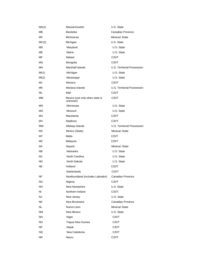| MA(1)     | Massachusetts                              | U.S. State                  |
|-----------|--------------------------------------------|-----------------------------|
| MВ        | Manitoba                                   | <b>Canadian Province</b>    |
| МC        | Michoacan                                  | Mexican State               |
| MC(2)     | Michigan                                   | U.S. State                  |
| <b>MD</b> | Maryland                                   | U.S. State                  |
| ME        | Maine                                      | U.S. State                  |
| MF        | Malawi                                     | C/D/T                       |
| МG        | Mongolia                                   | C/D/T                       |
| MH        | Marshall Islands                           | U.S. Territorial Possession |
| MI(1)     | Michigan                                   | U.S. State                  |
| MI(2)     | Mississippi                                | U.S. State                  |
| MJ        | Monaco                                     | C/D/T                       |
| <b>MK</b> | Mariana Islands                            | U.S. Territorial Possession |
| ML        | Mali                                       | C/D/T                       |
| <b>MM</b> | Mexico (use only when state is<br>unknown) | C/D/T                       |
| <b>MN</b> | Minnesota                                  | U.S. State                  |
| <b>MO</b> | Missouri                                   | U.S. State                  |
| MU        | Mauritania                                 | C/D/T                       |
| <b>MV</b> | <b>Maldives</b>                            | C/D/T                       |
| <b>MW</b> | Midway Islands                             | U.S. Territorial Possession |
| МX        | Mexico (State)                             | <b>Mexican State</b>        |
| MY        | Malta                                      | C/D/T                       |
| <b>MZ</b> | Malaysia                                   | C/D/T                       |
| <b>NA</b> | Nayarit                                    | Mexican State               |
| NB.       | Nebraska                                   | U.S. State                  |
| <b>NC</b> | North Carolina                             | U.S. State                  |
| <b>ND</b> | North Dakota                               | U.S. State                  |
| <b>NE</b> | Holland                                    | C/D/T                       |
|           | <b>Netherlands</b>                         | C/D/T                       |
| <b>NF</b> | Newfoundland (includes Labrador)           | Canadian Province           |
| ΝG        | Nigeria                                    | C/D/T                       |
| <b>NH</b> | New Hampshire                              | U.S. State                  |
| NI        | Northern Ireland                           | C/D/T                       |
| <b>NJ</b> | New Jersey                                 | U.S. State                  |
| <b>NK</b> | <b>New Brunswick</b>                       | Canadian Province           |
| <b>NL</b> | Nuevo Leon                                 | Mexican State               |
| <b>NM</b> | New Mexico                                 | U.S. State                  |
| <b>NN</b> | Niger                                      | C/D/T                       |
| <b>NO</b> | Papua New Guinea                           | C/D/T                       |
| NP        | Nepal                                      | C/D/T                       |
| <b>NQ</b> | New Caledonia                              | C/D/T                       |
| <b>NR</b> | Nauru                                      | C/D/T                       |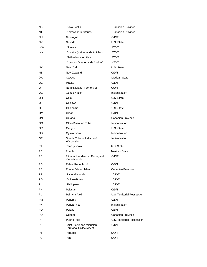| ΝS        | Nova Scotia                                               | <b>Canadian Province</b>    |
|-----------|-----------------------------------------------------------|-----------------------------|
| NT        | <b>Northwest Territories</b>                              | <b>Canadian Province</b>    |
| <b>NU</b> | Nicaragua                                                 | C/D/T                       |
| <b>NV</b> | Nevada                                                    | U.S. State                  |
| <b>NW</b> | Norway                                                    | C/D/T                       |
| NΧ        | Bonaire (Netherlands Antilles)                            | C/D/T                       |
|           | <b>Netherlands Antilles</b>                               | C/D/T                       |
|           | Curacao (Netherlands Antilles)                            | C/D/T                       |
| NY        | New York                                                  | U.S. State                  |
| NZ.       | New Zealand                                               | C/D/T                       |
| OA        | Oaxaca                                                    | Mexican State               |
| OС        | Macau                                                     | C/D/T                       |
| 0F        | Norfolk Island, Territory of                              | C/D/T                       |
| ОG        | <b>Osage Nation</b>                                       | <b>Indian Nation</b>        |
| OH        | Ohio                                                      | U.S. State                  |
| ΟI        | Okinawa                                                   | C/D/T                       |
| OK        | Oklahoma                                                  | U.S. State                  |
| <b>OM</b> | Oman                                                      | C/D/T                       |
| ON        | Ontario                                                   | Canadian Province           |
| OO        | Otoe-Missouria Tribe                                      | <b>Indian Nation</b>        |
| OR.       | Oregon                                                    | U.S. State                  |
| OS.       | Oglala Sioux                                              | <b>Indian Nation</b>        |
| ОT        | Oneida Tribe of Indians of<br>Wisconsin                   | <b>Indian Nation</b>        |
| PA        | Pennsylvania                                              | U.S. State                  |
| <b>PB</b> | Puebla                                                    | Mexican State               |
| РC        | Pitcairn, Henderson, Ducie, and<br>Oeno Islands           | C/D/T                       |
| PD        | Palau, Republic of                                        | C/D/T                       |
| РE        | Prince Edward Island                                      | <b>Canadian Province</b>    |
| PF        | Paracel Islands                                           | C/D/T                       |
| PG        | Guinea-Bissau                                             | C/D/T                       |
| PI        | Philippines                                               | C/D/T                       |
| <b>PK</b> | Pakistan                                                  | C/D/T                       |
| <b>PL</b> | Palmyra Atoll                                             | U.S. Territorial Possession |
| <b>PM</b> | Panama                                                    | C/D/T                       |
| <b>PN</b> | Ponca Tribe                                               | <b>Indian Nation</b>        |
| PO.       | Poland                                                    | C/D/T                       |
| PQ.       | Quebec                                                    | <b>Canadian Province</b>    |
| <b>PR</b> | Puerto Rico                                               | U.S. Territorial Possession |
| <b>PS</b> | Saint Pierre and Miquelon,<br>Territorial Collectivity of | C/D/T                       |
| <b>PT</b> | Portugal                                                  | C/D/T                       |
| PU        | Peru                                                      | C/D/T                       |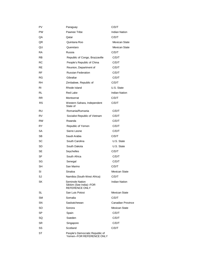| PV        | Paraguay                                                     | C/D/T                    |
|-----------|--------------------------------------------------------------|--------------------------|
| <b>PW</b> | Pawnee Tribe                                                 | <b>Indian Nation</b>     |
| QA        | Qatar                                                        | C/D/T                    |
| QR        | Quintana Roo                                                 | Mexican State            |
| QU        | Queretaro                                                    | <b>Mexican State</b>     |
| <b>RA</b> | Russia                                                       | C/D/T                    |
| <b>RB</b> | Republic of Congo, Brazzaville                               | C/D/T                    |
| RC        | People's Republic of China                                   | C/D/T                    |
| <b>RE</b> | Reunion, Department of                                       | C/D/T                    |
| RF        | <b>Russian Federation</b>                                    | C/D/T                    |
| RG        | Gibraltar                                                    | C/D/T                    |
| RH        | Zimbabwe, Republic of                                        | C/D/T                    |
| RI        | Rhode Island                                                 | U.S. State               |
| RL        | <b>Red Lake</b>                                              | <b>Indian Nation</b>     |
| <b>RR</b> | Montserrat                                                   | C/D/T                    |
| <b>RS</b> | Western Sahara, Independent<br>State of                      | C/D/T                    |
| RU        | Romania/Rumania                                              | C/D/T                    |
| <b>RV</b> | Socialist Republic of Vietnam                                | C/D/T                    |
| <b>RW</b> | Rwanda                                                       | C/D/T                    |
| <b>RY</b> | Republic of Yemen                                            | C/D/T                    |
| SA        | Sierre Leone                                                 | C/D/T                    |
| SB        | Saudi Arabia                                                 | C/D/T                    |
| SC        | South Carolina                                               | U.S. State               |
| SD        | South Dakota                                                 | U.S. State               |
| SE        | Seychelles                                                   | C/D/T                    |
| SF        | South Africa                                                 | C/D/T                    |
| SG        | Senegal                                                      | C/D/T                    |
| <b>SH</b> | San Marino                                                   | C/D/T                    |
| SI        | Sinaloa                                                      | <b>Mexican State</b>     |
| SJ        | Namibia (South-West Africa)                                  | C/D/T                    |
| SK        | Seminole Nation<br>Sikkim (See India)--FOR<br>REFERENCE ONLY | Indian Nation            |
| SL        | San Luis Potosi                                              | Mexican State            |
| <b>SM</b> | Somalia                                                      | C/D/T                    |
| <b>SN</b> | Saskatchewan                                                 | <b>Canadian Province</b> |
| SO        | Sonora                                                       | Mexican State            |
| <b>SP</b> | Spain                                                        | C/D/T                    |
| SQ        | Sweden                                                       | C/D/T                    |
| SR        | Singapore                                                    | C/D/T                    |
| SS        | Scotland                                                     | C/D/T                    |
| <b>ST</b> | People's Democratic Republic of<br>Yemen--FOR REFERENCE ONLY |                          |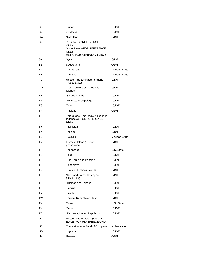| SU        | Sudan                                                                                                   | C/D/T                |
|-----------|---------------------------------------------------------------------------------------------------------|----------------------|
| SV        | Svalbard                                                                                                | C/D/T                |
| SW        | Swaziland                                                                                               | C/D/T                |
| SX        | <b>Russia--FOR REFERENCE</b><br>ONLY<br>Soviet Union--FOR REFERENCE<br>ONLY<br>USSR--FOR REFERENCE ONLY |                      |
| SY        | Syria                                                                                                   | C/D/T                |
| SZ        | Switzerland                                                                                             | C/D/T                |
| TA        | Tamaulipas                                                                                              | Mexican State        |
| ТB        | Tabasco                                                                                                 | Mexican State        |
| ТC        | United Arab Emirates (formerly<br>Trucial States)                                                       | C/D/T                |
| TD        | Trust Territory of the Pacific<br>Islands                                                               | C/D/T                |
| TЕ        | Spratly Islands                                                                                         | C/D/T                |
| TF        | Tuamotu Archipelago                                                                                     | C/D/T                |
| TG        | Tonga                                                                                                   | C/D/T                |
| TН        | Thailand                                                                                                | C/D/T                |
| TI        | Portuguese Timor (now included in<br>Indonesia)--FOR REFERENCE<br><b>ONLY</b>                           |                      |
| TJ        | Tajikistan                                                                                              | C/D/T                |
| ТK        | Tokelau                                                                                                 | C/D/T                |
| TL        | Tlaxcala                                                                                                | <b>Mexican State</b> |
| TM        | Tromelin Island (French<br>possession)                                                                  | C/D/T                |
| TN        | Tennessee                                                                                               | U.S. State           |
| TO        | Togo                                                                                                    | C/D/T                |
| TP        | Sao Tome and Principe                                                                                   | C/D/T                |
| TQ        | Tongareva                                                                                               | C/D/T                |
| TR        | <b>Turks and Caicos Islands</b>                                                                         | C/D/T                |
| TS        | Nevis and Saint Christopher<br>(Saint Kitts)                                                            | C/D/T                |
| TT        | <b>Trinidad and Tobago</b>                                                                              | C/D/T                |
| TU        | Tunisia                                                                                                 | C/D/T                |
| TV        | Tuvalu                                                                                                  | C/D/T                |
| <b>TW</b> | Taiwan, Republic of China                                                                               | C/D/T                |
| ТX        | Texas                                                                                                   | U.S. State           |
| <b>TY</b> | Turkey                                                                                                  | C/D/T                |
| TZ        | Tanzania, United Republic of                                                                            | C/D/T                |
| UA        | United Arab Republic (code as<br>Egypt)--FOR REFERENCE ONLY                                             |                      |
| UC        | Turtle Mountain Band of Chippewa                                                                        | <b>Indian Nation</b> |
| UG        | Uganda                                                                                                  | C/D/T                |
| UK        | Ukraine                                                                                                 | C/D/T                |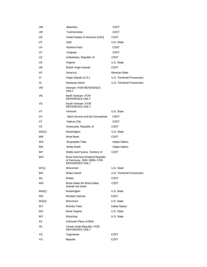| UM        | <b>Mauritius</b>                                                                       | C/D/T                       |
|-----------|----------------------------------------------------------------------------------------|-----------------------------|
| UR.       | Turkmenistan                                                                           | C/D/T                       |
| US        | United States of America (USA)                                                         | C/D/T                       |
| UT        | Utah                                                                                   | U.S. State                  |
| UV        | <b>Burkina Faso</b>                                                                    | C/D/T                       |
| UY        | Uruguay                                                                                | C/D/T                       |
| UZ        | Uzbekistan, Republic of                                                                | C/D/T                       |
| VA        | Virginia                                                                               | U.S. State                  |
| VB        | <b>British Virgin Islands</b>                                                          | C/D/T                       |
| VC        | Veracruz                                                                               | Mexican State               |
| VI        | Virgin Islands (U.S.)                                                                  | U.S. Territorial Possession |
| VL        | Navassa Island                                                                         | U.S. Territorial Possession |
| VM        | Vietnam--FOR REFERENCE<br>ONLY                                                         |                             |
| VN        | North Vietnam--FOR<br>REFERENCE ONLY                                                   |                             |
| VS        | South Vietnam--FOR<br>REFERENCE ONLY                                                   |                             |
| VT        | Vermont                                                                                | U.S. State                  |
| VV        | Saint Vincent and the Grenadines                                                       | C/D/T                       |
| <b>VY</b> | Vatican City                                                                           | C/D/T                       |
| VZ        | Venezuela, Republic of                                                                 | C/D/T                       |
| WA(1)     | Washington                                                                             | U.S. State                  |
| WB.       | West Bank                                                                              | C/D/T                       |
| <b>WD</b> | Wyandotte Tribe                                                                        | <b>Indian Nation</b>        |
| WE        | <b>White Earth</b>                                                                     | <b>Indian Nation</b>        |
| WF        | Wallis and Futuna, Territory of                                                        | C/D/T                       |
| WG        | West Germany (Federal Republic<br>of Germany, 1945-1989)--FOR<br><b>REFERENCE ONLY</b> |                             |
| WI(1)     | Wisconsin                                                                              | U.S. State                  |
| WK        | Wake Island                                                                            | U.S. Territorial Possession |
| WL        | Wales                                                                                  | C/D/T                       |
| <b>WN</b> | West Indies-for West Indies<br>Islands not listed                                      | C/D/T                       |
| WN(2)     | Washington                                                                             | U.S. State                  |
| WS        | Western Samoa                                                                          | C/D/T                       |
| WS(2)     | Wisconsin                                                                              | U.S. State                  |
| <b>WT</b> | Wichita Tribe                                                                          | <b>Indian Nation</b>        |
| WV        | West Virginia                                                                          | U.S. State                  |
| WY.       | <b>Wyoming</b>                                                                         | U.S. State                  |
| XX        | Unknown Place of Birth                                                                 |                             |
| YΕ        | Yemen Arab Republic--FOR<br><b>REFERENCE ONLY</b>                                      |                             |
| YG        | Yugoslavia                                                                             | C/D/T                       |
| YO        | Mayotte                                                                                | C/D/T                       |